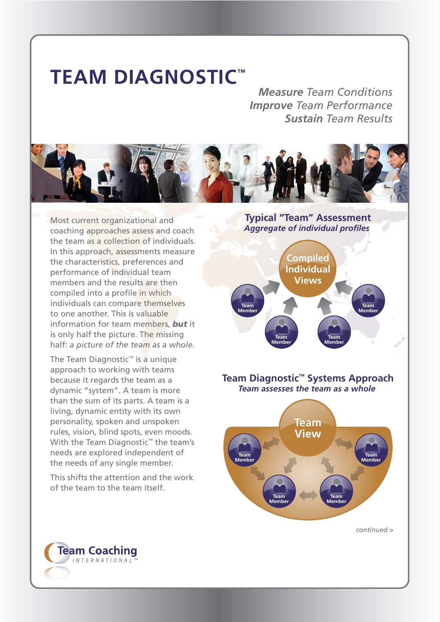## **TEAM DIAGNOSTIC™**

**Measure Team Conditions Improve Team Performance Sustain Team Results** 



Most current organizational and coaching approaches assess and coach the team as a collection of individuals. In this approach, assessments measure the characteristics, preferences and performance of individual team members and the results are then compiled into a profile in which individuals can compare themselves to one another. This is valuable information for team members. but it is only half the picture. The missing half: a picture of the team as a whole.

The Team Diagnostic<sup>™</sup> is a unique approach to working with teams because it regards the team as a dynamic "system". A team is more than the sum of its parts. A team is a living, dynamic entity with its own personality, spoken and unspoken rules, vision, blind spots, even moods. With the Team Diagnostic<sup>™</sup> the team's needs are explored independent of the needs of any single member.

This shifts the attention and the work of the team to the team itself.

**Typical "Team" Assessment Aggregate of individual profiles** 



Team Diagnostic<sup>™</sup> Systems Approach Team assesses the team as a whole



 $continued >$